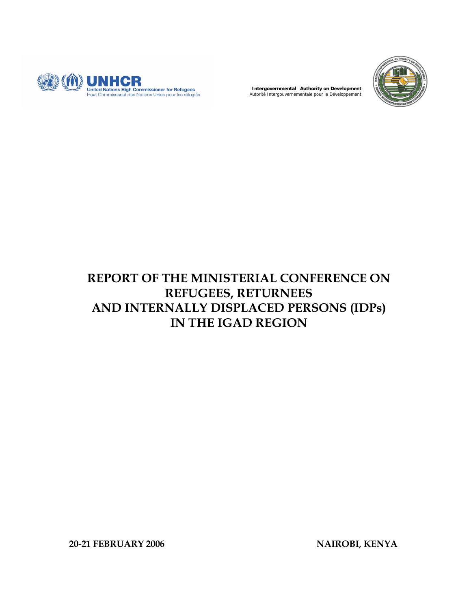

**Intergovernmental Authority on Development**  Autorité Intergouvernementale pour le Développement



# **REPORT OF THE MINISTERIAL CONFERENCE ON REFUGEES, RETURNEES AND INTERNALLY DISPLACED PERSONS (IDPs) IN THE IGAD REGION**

**20-21 FEBRUARY 2006 NAIROBI, KENYA**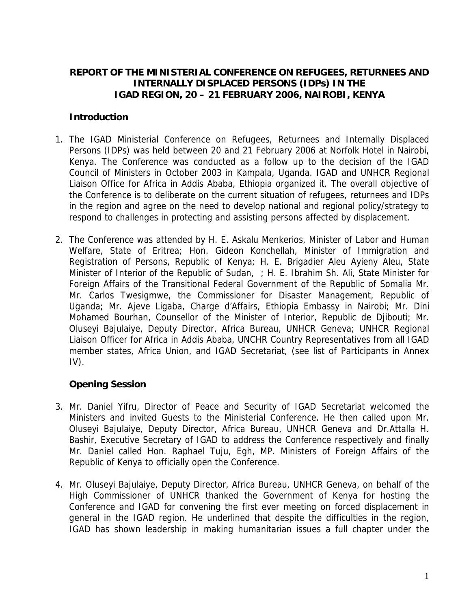## **REPORT OF THE MINISTERIAL CONFERENCE ON REFUGEES, RETURNEES AND INTERNALLY DISPLACED PERSONS (IDPs) IN THE IGAD REGION, 20 – 21 FEBRUARY 2006, NAIROBI, KENYA**

## **Introduction**

- 1. The IGAD Ministerial Conference on Refugees, Returnees and Internally Displaced Persons (IDPs) was held between 20 and 21 February 2006 at Norfolk Hotel in Nairobi, Kenya. The Conference was conducted as a follow up to the decision of the IGAD Council of Ministers in October 2003 in Kampala, Uganda. IGAD and UNHCR Regional Liaison Office for Africa in Addis Ababa, Ethiopia organized it. The overall objective of the Conference is to deliberate on the current situation of refugees, returnees and IDPs in the region and agree on the need to develop national and regional policy/strategy to respond to challenges in protecting and assisting persons affected by displacement.
- 2. The Conference was attended by H. E. Askalu Menkerios, Minister of Labor and Human Welfare, State of Eritrea; Hon. Gideon Konchellah, Minister of Immigration and Registration of Persons, Republic of Kenya; H. E. Brigadier Aleu Ayieny Aleu, State Minister of Interior of the Republic of Sudan, ; H. E. Ibrahim Sh. Ali, State Minister for Foreign Affairs of the Transitional Federal Government of the Republic of Somalia Mr. Mr. Carlos Twesigmwe, the Commissioner for Disaster Management, Republic of Uganda; Mr. Ajeve Ligaba, Charge d'Affairs, Ethiopia Embassy in Nairobi; Mr. Dini Mohamed Bourhan, Counsellor of the Minister of Interior, Republic de Djibouti; Mr. Oluseyi Bajulaiye, Deputy Director, Africa Bureau, UNHCR Geneva; UNHCR Regional Liaison Officer for Africa in Addis Ababa, UNCHR Country Representatives from all IGAD member states, Africa Union, and IGAD Secretariat, (see list of Participants in Annex  $IV$ ).

## **Opening Session**

- 3. Mr. Daniel Yifru, Director of Peace and Security of IGAD Secretariat welcomed the Ministers and invited Guests to the Ministerial Conference. He then called upon Mr. Oluseyi Bajulaiye, Deputy Director, Africa Bureau, UNHCR Geneva and Dr.Attalla H. Bashir, Executive Secretary of IGAD to address the Conference respectively and finally Mr. Daniel called Hon. Raphael Tuju, Egh, MP. Ministers of Foreign Affairs of the Republic of Kenya to officially open the Conference.
- 4. Mr. Oluseyi Bajulaiye, Deputy Director, Africa Bureau, UNHCR Geneva, on behalf of the High Commissioner of UNHCR thanked the Government of Kenya for hosting the Conference and IGAD for convening the first ever meeting on forced displacement in general in the IGAD region. He underlined that despite the difficulties in the region, IGAD has shown leadership in making humanitarian issues a full chapter under the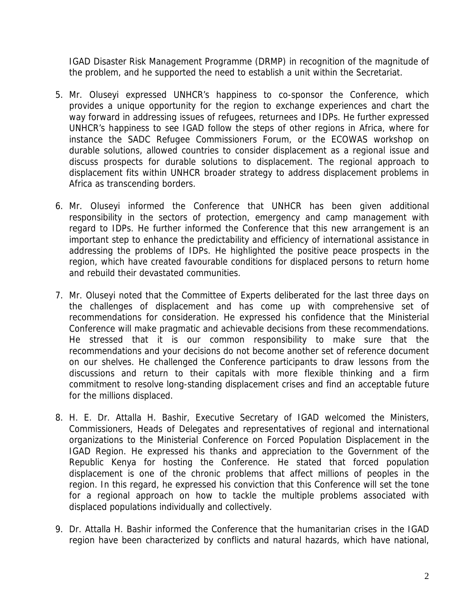IGAD Disaster Risk Management Programme (DRMP) in recognition of the magnitude of the problem, and he supported the need to establish a unit within the Secretariat.

- 5. Mr. Oluseyi expressed UNHCR's happiness to co-sponsor the Conference, which provides a unique opportunity for the region to exchange experiences and chart the way forward in addressing issues of refugees, returnees and IDPs. He further expressed UNHCR's happiness to see IGAD follow the steps of other regions in Africa, where for instance the SADC Refugee Commissioners Forum, or the ECOWAS workshop on durable solutions, allowed countries to consider displacement as a regional issue and discuss prospects for durable solutions to displacement. The regional approach to displacement fits within UNHCR broader strategy to address displacement problems in Africa as transcending borders.
- 6. Mr. Oluseyi informed the Conference that UNHCR has been given additional responsibility in the sectors of protection, emergency and camp management with regard to IDPs. He further informed the Conference that this new arrangement is an important step to enhance the predictability and efficiency of international assistance in addressing the problems of IDPs. He highlighted the positive peace prospects in the region, which have created favourable conditions for displaced persons to return home and rebuild their devastated communities.
- 7. Mr. Oluseyi noted that the Committee of Experts deliberated for the last three days on the challenges of displacement and has come up with comprehensive set of recommendations for consideration. He expressed his confidence that the Ministerial Conference will make pragmatic and achievable decisions from these recommendations. He stressed that it is our common responsibility to make sure that the recommendations and your decisions do not become another set of reference document on our shelves. He challenged the Conference participants to draw lessons from the discussions and return to their capitals with more flexible thinking and a firm commitment to resolve long-standing displacement crises and find an acceptable future for the millions displaced.
- 8. H. E. Dr. Attalla H. Bashir, Executive Secretary of IGAD welcomed the Ministers, Commissioners, Heads of Delegates and representatives of regional and international organizations to the Ministerial Conference on Forced Population Displacement in the IGAD Region. He expressed his thanks and appreciation to the Government of the Republic Kenya for hosting the Conference. He stated that forced population displacement is one of the chronic problems that affect millions of peoples in the region. In this regard, he expressed his conviction that this Conference will set the tone for a regional approach on how to tackle the multiple problems associated with displaced populations individually and collectively.
- 9. Dr. Attalla H. Bashir informed the Conference that the humanitarian crises in the IGAD region have been characterized by conflicts and natural hazards, which have national,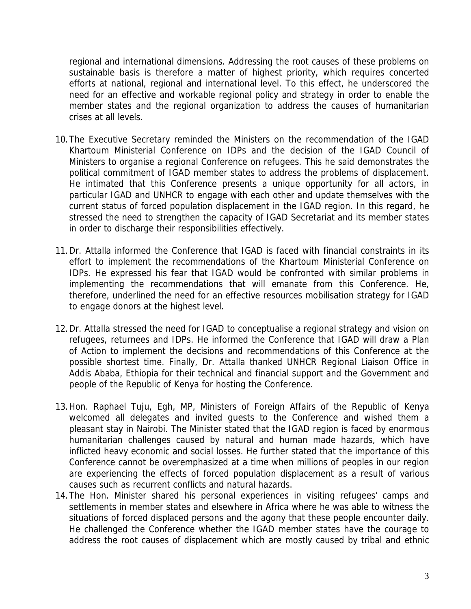regional and international dimensions. Addressing the root causes of these problems on sustainable basis is therefore a matter of highest priority, which requires concerted efforts at national, regional and international level. To this effect, he underscored the need for an effective and workable regional policy and strategy in order to enable the member states and the regional organization to address the causes of humanitarian crises at all levels.

- 10.The Executive Secretary reminded the Ministers on the recommendation of the IGAD Khartoum Ministerial Conference on IDPs and the decision of the IGAD Council of Ministers to organise a regional Conference on refugees. This he said demonstrates the political commitment of IGAD member states to address the problems of displacement. He intimated that this Conference presents a unique opportunity for all actors, in particular IGAD and UNHCR to engage with each other and update themselves with the current status of forced population displacement in the IGAD region. In this regard, he stressed the need to strengthen the capacity of IGAD Secretariat and its member states in order to discharge their responsibilities effectively.
- 11.Dr. Attalla informed the Conference that IGAD is faced with financial constraints in its effort to implement the recommendations of the Khartoum Ministerial Conference on IDPs. He expressed his fear that IGAD would be confronted with similar problems in implementing the recommendations that will emanate from this Conference. He, therefore, underlined the need for an effective resources mobilisation strategy for IGAD to engage donors at the highest level.
- 12.Dr. Attalla stressed the need for IGAD to conceptualise a regional strategy and vision on refugees, returnees and IDPs. He informed the Conference that IGAD will draw a Plan of Action to implement the decisions and recommendations of this Conference at the possible shortest time. Finally, Dr. Attalla thanked UNHCR Regional Liaison Office in Addis Ababa, Ethiopia for their technical and financial support and the Government and people of the Republic of Kenya for hosting the Conference.
- 13.Hon. Raphael Tuju, Egh, MP, Ministers of Foreign Affairs of the Republic of Kenya welcomed all delegates and invited guests to the Conference and wished them a pleasant stay in Nairobi. The Minister stated that the IGAD region is faced by enormous humanitarian challenges caused by natural and human made hazards, which have inflicted heavy economic and social losses. He further stated that the importance of this Conference cannot be overemphasized at a time when millions of peoples in our region are experiencing the effects of forced population displacement as a result of various causes such as recurrent conflicts and natural hazards.
- 14.The Hon. Minister shared his personal experiences in visiting refugees' camps and settlements in member states and elsewhere in Africa where he was able to witness the situations of forced displaced persons and the agony that these people encounter daily. He challenged the Conference whether the IGAD member states have the courage to address the root causes of displacement which are mostly caused by tribal and ethnic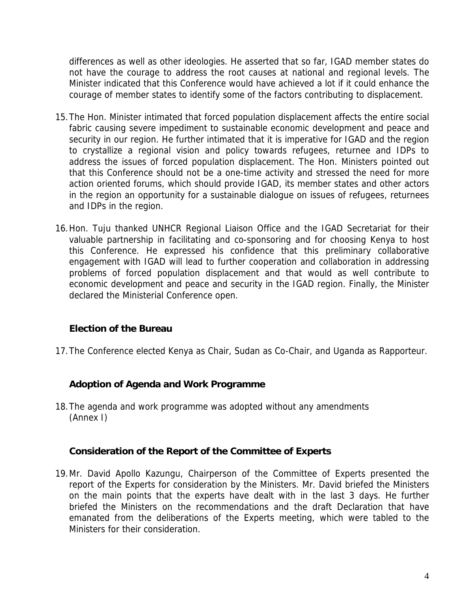differences as well as other ideologies. He asserted that so far, IGAD member states do not have the courage to address the root causes at national and regional levels. The Minister indicated that this Conference would have achieved a lot if it could enhance the courage of member states to identify some of the factors contributing to displacement.

- 15.The Hon. Minister intimated that forced population displacement affects the entire social fabric causing severe impediment to sustainable economic development and peace and security in our region. He further intimated that it is imperative for IGAD and the region to crystallize a regional vision and policy towards refugees, returnee and IDPs to address the issues of forced population displacement. The Hon. Ministers pointed out that this Conference should not be a one-time activity and stressed the need for more action oriented forums, which should provide IGAD, its member states and other actors in the region an opportunity for a sustainable dialogue on issues of refugees, returnees and IDPs in the region.
- 16.Hon. Tuju thanked UNHCR Regional Liaison Office and the IGAD Secretariat for their valuable partnership in facilitating and co-sponsoring and for choosing Kenya to host this Conference. He expressed his confidence that this preliminary collaborative engagement with IGAD will lead to further cooperation and collaboration in addressing problems of forced population displacement and that would as well contribute to economic development and peace and security in the IGAD region. Finally, the Minister declared the Ministerial Conference open.

## **Election of the Bureau**

17.The Conference elected Kenya as Chair, Sudan as Co-Chair, and Uganda as Rapporteur.

### **Adoption of Agenda and Work Programme**

18.The agenda and work programme was adopted without any amendments (Annex I)

### **Consideration of the Report of the Committee of Experts**

19.Mr. David Apollo Kazungu, Chairperson of the Committee of Experts presented the report of the Experts for consideration by the Ministers. Mr. David briefed the Ministers on the main points that the experts have dealt with in the last 3 days. He further briefed the Ministers on the recommendations and the draft Declaration that have emanated from the deliberations of the Experts meeting, which were tabled to the Ministers for their consideration.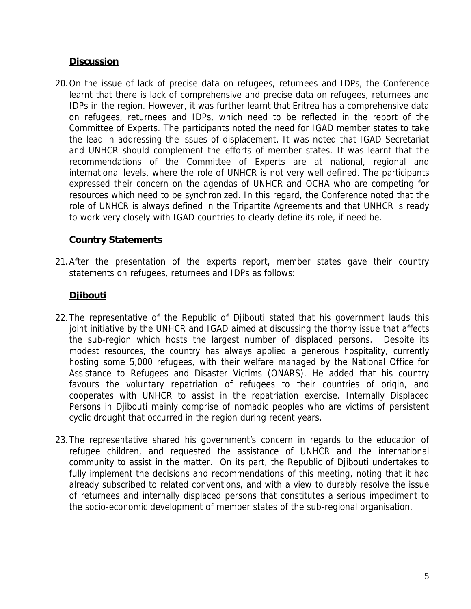## **Discussion**

20.On the issue of lack of precise data on refugees, returnees and IDPs, the Conference learnt that there is lack of comprehensive and precise data on refugees, returnees and IDPs in the region. However, it was further learnt that Eritrea has a comprehensive data on refugees, returnees and IDPs, which need to be reflected in the report of the Committee of Experts. The participants noted the need for IGAD member states to take the lead in addressing the issues of displacement. It was noted that IGAD Secretariat and UNHCR should complement the efforts of member states. It was learnt that the recommendations of the Committee of Experts are at national, regional and international levels, where the role of UNHCR is not very well defined. The participants expressed their concern on the agendas of UNHCR and OCHA who are competing for resources which need to be synchronized. In this regard, the Conference noted that the role of UNHCR is always defined in the Tripartite Agreements and that UNHCR is ready to work very closely with IGAD countries to clearly define its role, if need be.

## **Country Statements**

21.After the presentation of the experts report, member states gave their country statements on refugees, returnees and IDPs as follows:

## **Djibouti**

- 22.The representative of the Republic of Djibouti stated that his government lauds this joint initiative by the UNHCR and IGAD aimed at discussing the thorny issue that affects the sub-region which hosts the largest number of displaced persons. Despite its modest resources, the country has always applied a generous hospitality, currently hosting some 5,000 refugees, with their welfare managed by the National Office for Assistance to Refugees and Disaster Victims (ONARS). He added that his country favours the voluntary repatriation of refugees to their countries of origin, and cooperates with UNHCR to assist in the repatriation exercise. Internally Displaced Persons in Djibouti mainly comprise of nomadic peoples who are victims of persistent cyclic drought that occurred in the region during recent years.
- 23.The representative shared his government's concern in regards to the education of refugee children, and requested the assistance of UNHCR and the international community to assist in the matter. On its part, the Republic of Djibouti undertakes to fully implement the decisions and recommendations of this meeting, noting that it had already subscribed to related conventions, and with a view to durably resolve the issue of returnees and internally displaced persons that constitutes a serious impediment to the socio-economic development of member states of the sub-regional organisation.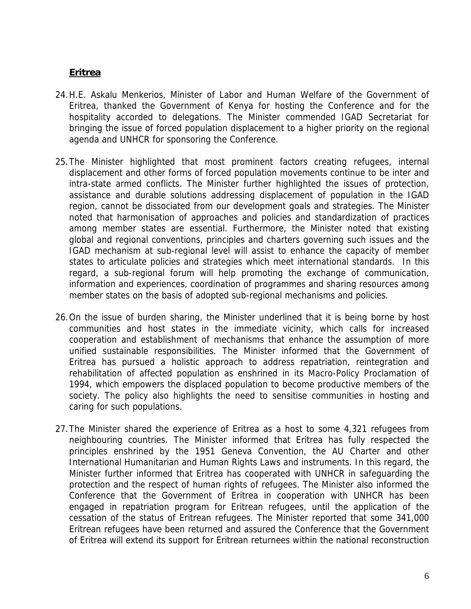## **Eritrea**

- 24.H.E. Askalu Menkerios, Minister of Labor and Human Welfare of the Government of Eritrea, thanked the Government of Kenya for hosting the Conference and for the hospitality accorded to delegations. The Minister commended IGAD Secretariat for bringing the issue of forced population displacement to a higher priority on the regional agenda and UNHCR for sponsoring the Conference.
- 25.The Minister highlighted that most prominent factors creating refugees, internal displacement and other forms of forced population movements continue to be inter and intra-state armed conflicts. The Minister further highlighted the issues of protection, assistance and durable solutions addressing displacement of population in the IGAD region, cannot be dissociated from our development goals and strategies. The Minister noted that harmonisation of approaches and policies and standardization of practices among member states are essential. Furthermore, the Minister noted that existing global and regional conventions, principles and charters governing such issues and the IGAD mechanism at sub-regional level will assist to enhance the capacity of member states to articulate policies and strategies which meet international standards. In this regard, a sub-regional forum will help promoting the exchange of communication, information and experiences, coordination of programmes and sharing resources among member states on the basis of adopted sub-regional mechanisms and policies.
- 26.On the issue of burden sharing, the Minister underlined that it is being borne by host communities and host states in the immediate vicinity, which calls for increased cooperation and establishment of mechanisms that enhance the assumption of more unified sustainable responsibilities. The Minister informed that the Government of Eritrea has pursued a holistic approach to address repatriation, reintegration and rehabilitation of affected population as enshrined in its Macro-Policy Proclamation of 1994, which empowers the displaced population to become productive members of the society. The policy also highlights the need to sensitise communities in hosting and caring for such populations.
- 27.The Minister shared the experience of Eritrea as a host to some 4,321 refugees from neighbouring countries. The Minister informed that Eritrea has fully respected the principles enshrined by the 1951 Geneva Convention, the AU Charter and other International Humanitarian and Human Rights Laws and instruments. In this regard, the Minister further informed that Eritrea has cooperated with UNHCR in safeguarding the protection and the respect of human rights of refugees. The Minister also informed the Conference that the Government of Eritrea in cooperation with UNHCR has been engaged in repatriation program for Eritrean refugees, until the application of the cessation of the status of Eritrean refugees. The Minister reported that some 341,000 Eritrean refugees have been returned and assured the Conference that the Government of Eritrea will extend its support for Eritrean returnees within the national reconstruction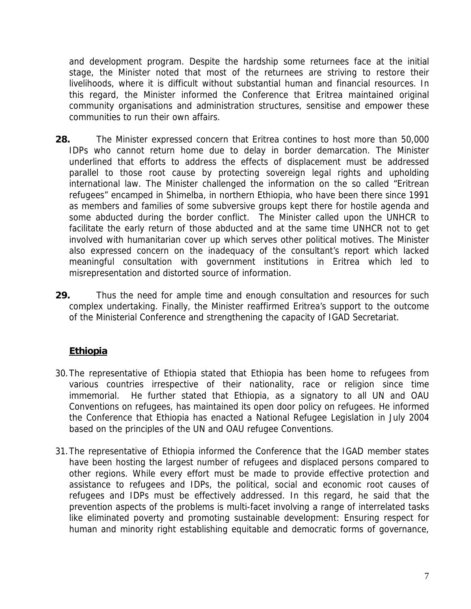and development program. Despite the hardship some returnees face at the initial stage, the Minister noted that most of the returnees are striving to restore their livelihoods, where it is difficult without substantial human and financial resources. In this regard, the Minister informed the Conference that Eritrea maintained original community organisations and administration structures, sensitise and empower these communities to run their own affairs.

- **28.** The Minister expressed concern that Eritrea contines to host more than 50,000 IDPs who cannot return home due to delay in border demarcation. The Minister underlined that efforts to address the effects of displacement must be addressed parallel to those root cause by protecting sovereign legal rights and upholding international law. The Minister challenged the information on the so called "Eritrean refugees" encamped in Shimelba, in northern Ethiopia, who have been there since 1991 as members and families of some subversive groups kept there for hostile agenda and some abducted during the border conflict. The Minister called upon the UNHCR to facilitate the early return of those abducted and at the same time UNHCR not to get involved with humanitarian cover up which serves other political motives. The Minister also expressed concern on the inadequacy of the consultant's report which lacked meaningful consultation with government institutions in Eritrea which led to misrepresentation and distorted source of information.
- **29.** Thus the need for ample time and enough consultation and resources for such complex undertaking. Finally, the Minister reaffirmed Eritrea's support to the outcome of the Ministerial Conference and strengthening the capacity of IGAD Secretariat.

## **Ethiopia**

- 30.The representative of Ethiopia stated that Ethiopia has been home to refugees from various countries irrespective of their nationality, race or religion since time immemorial. He further stated that Ethiopia, as a signatory to all UN and OAU Conventions on refugees, has maintained its open door policy on refugees. He informed the Conference that Ethiopia has enacted a National Refugee Legislation in July 2004 based on the principles of the UN and OAU refugee Conventions.
- 31.The representative of Ethiopia informed the Conference that the IGAD member states have been hosting the largest number of refugees and displaced persons compared to other regions. While every effort must be made to provide effective protection and assistance to refugees and IDPs, the political, social and economic root causes of refugees and IDPs must be effectively addressed. In this regard, he said that the prevention aspects of the problems is multi-facet involving a range of interrelated tasks like eliminated poverty and promoting sustainable development: Ensuring respect for human and minority right establishing equitable and democratic forms of governance,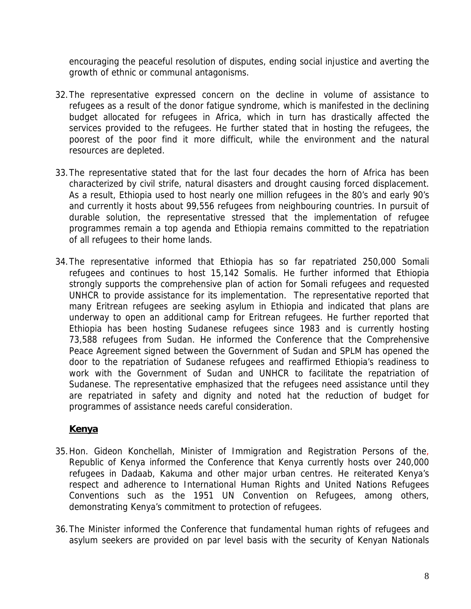encouraging the peaceful resolution of disputes, ending social injustice and averting the growth of ethnic or communal antagonisms.

- 32.The representative expressed concern on the decline in volume of assistance to refugees as a result of the donor fatigue syndrome, which is manifested in the declining budget allocated for refugees in Africa, which in turn has drastically affected the services provided to the refugees. He further stated that in hosting the refugees, the poorest of the poor find it more difficult, while the environment and the natural resources are depleted.
- 33.The representative stated that for the last four decades the horn of Africa has been characterized by civil strife, natural disasters and drought causing forced displacement. As a result, Ethiopia used to host nearly one million refugees in the 80's and early 90's and currently it hosts about 99,556 refugees from neighbouring countries. In pursuit of durable solution, the representative stressed that the implementation of refugee programmes remain a top agenda and Ethiopia remains committed to the repatriation of all refugees to their home lands.
- 34.The representative informed that Ethiopia has so far repatriated 250,000 Somali refugees and continues to host 15,142 Somalis. He further informed that Ethiopia strongly supports the comprehensive plan of action for Somali refugees and requested UNHCR to provide assistance for its implementation. The representative reported that many Eritrean refugees are seeking asylum in Ethiopia and indicated that plans are underway to open an additional camp for Eritrean refugees. He further reported that Ethiopia has been hosting Sudanese refugees since 1983 and is currently hosting 73,588 refugees from Sudan. He informed the Conference that the Comprehensive Peace Agreement signed between the Government of Sudan and SPLM has opened the door to the repatriation of Sudanese refugees and reaffirmed Ethiopia's readiness to work with the Government of Sudan and UNHCR to facilitate the repatriation of Sudanese. The representative emphasized that the refugees need assistance until they are repatriated in safety and dignity and noted hat the reduction of budget for programmes of assistance needs careful consideration.

## **Kenya**

- 35.Hon. Gideon Konchellah, Minister of Immigration and Registration Persons of the, Republic of Kenya informed the Conference that Kenya currently hosts over 240,000 refugees in Dadaab, Kakuma and other major urban centres. He reiterated Kenya's respect and adherence to International Human Rights and United Nations Refugees Conventions such as the 1951 UN Convention on Refugees, among others, demonstrating Kenya's commitment to protection of refugees.
- 36.The Minister informed the Conference that fundamental human rights of refugees and asylum seekers are provided on par level basis with the security of Kenyan Nationals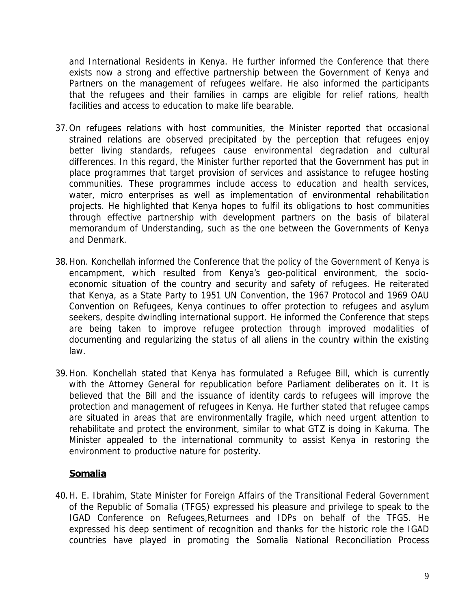and International Residents in Kenya. He further informed the Conference that there exists now a strong and effective partnership between the Government of Kenya and Partners on the management of refugees welfare. He also informed the participants that the refugees and their families in camps are eligible for relief rations, health facilities and access to education to make life bearable.

- 37.On refugees relations with host communities, the Minister reported that occasional strained relations are observed precipitated by the perception that refugees enjoy better living standards, refugees cause environmental degradation and cultural differences. In this regard, the Minister further reported that the Government has put in place programmes that target provision of services and assistance to refugee hosting communities. These programmes include access to education and health services, water, micro enterprises as well as implementation of environmental rehabilitation projects. He highlighted that Kenya hopes to fulfil its obligations to host communities through effective partnership with development partners on the basis of bilateral memorandum of Understanding, such as the one between the Governments of Kenya and Denmark.
- 38.Hon. Konchellah informed the Conference that the policy of the Government of Kenya is encampment, which resulted from Kenya's geo-political environment, the socioeconomic situation of the country and security and safety of refugees. He reiterated that Kenya, as a State Party to 1951 UN Convention, the 1967 Protocol and 1969 OAU Convention on Refugees, Kenya continues to offer protection to refugees and asylum seekers, despite dwindling international support. He informed the Conference that steps are being taken to improve refugee protection through improved modalities of documenting and regularizing the status of all aliens in the country within the existing law.
- 39.Hon. Konchellah stated that Kenya has formulated a Refugee Bill, which is currently with the Attorney General for republication before Parliament deliberates on it. It is believed that the Bill and the issuance of identity cards to refugees will improve the protection and management of refugees in Kenya. He further stated that refugee camps are situated in areas that are environmentally fragile, which need urgent attention to rehabilitate and protect the environment, similar to what GTZ is doing in Kakuma. The Minister appealed to the international community to assist Kenya in restoring the environment to productive nature for posterity.

## **Somalia**

40.H. E. Ibrahim, State Minister for Foreign Affairs of the Transitional Federal Government of the Republic of Somalia (TFGS) expressed his pleasure and privilege to speak to the IGAD Conference on Refugees,Returnees and IDPs on behalf of the TFGS. He expressed his deep sentiment of recognition and thanks for the historic role the IGAD countries have played in promoting the Somalia National Reconciliation Process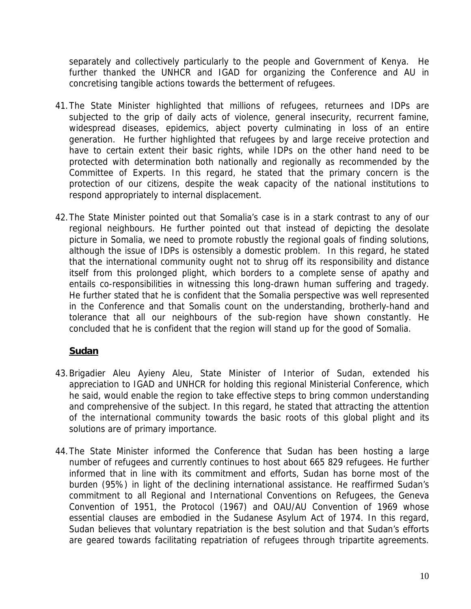separately and collectively particularly to the people and Government of Kenya. He further thanked the UNHCR and IGAD for organizing the Conference and AU in concretising tangible actions towards the betterment of refugees.

- 41.The State Minister highlighted that millions of refugees, returnees and IDPs are subjected to the grip of daily acts of violence, general insecurity, recurrent famine, widespread diseases, epidemics, abject poverty culminating in loss of an entire generation. He further highlighted that refugees by and large receive protection and have to certain extent their basic rights, while IDPs on the other hand need to be protected with determination both nationally and regionally as recommended by the Committee of Experts. In this regard, he stated that the primary concern is the protection of our citizens, despite the weak capacity of the national institutions to respond appropriately to internal displacement.
- 42.The State Minister pointed out that Somalia's case is in a stark contrast to any of our regional neighbours. He further pointed out that instead of depicting the desolate picture in Somalia, we need to promote robustly the regional goals of finding solutions, although the issue of IDPs is ostensibly a domestic problem. In this regard, he stated that the international community ought not to shrug off its responsibility and distance itself from this prolonged plight, which borders to a complete sense of apathy and entails co-responsibilities in witnessing this long-drawn human suffering and tragedy. He further stated that he is confident that the Somalia perspective was well represented in the Conference and that Somalis count on the understanding, brotherly-hand and tolerance that all our neighbours of the sub-region have shown constantly. He concluded that he is confident that the region will stand up for the good of Somalia.

## **Sudan**

- 43.Brigadier Aleu Ayieny Aleu, State Minister of Interior of Sudan, extended his appreciation to IGAD and UNHCR for holding this regional Ministerial Conference, which he said, would enable the region to take effective steps to bring common understanding and comprehensive of the subject. In this regard, he stated that attracting the attention of the international community towards the basic roots of this global plight and its solutions are of primary importance.
- 44.The State Minister informed the Conference that Sudan has been hosting a large number of refugees and currently continues to host about 665 829 refugees. He further informed that in line with its commitment and efforts, Sudan has borne most of the burden (95%) in light of the declining international assistance. He reaffirmed Sudan's commitment to all Regional and International Conventions on Refugees, the Geneva Convention of 1951, the Protocol (1967) and OAU/AU Convention of 1969 whose essential clauses are embodied in the Sudanese Asylum Act of 1974. In this regard, Sudan believes that voluntary repatriation is the best solution and that Sudan's efforts are geared towards facilitating repatriation of refugees through tripartite agreements.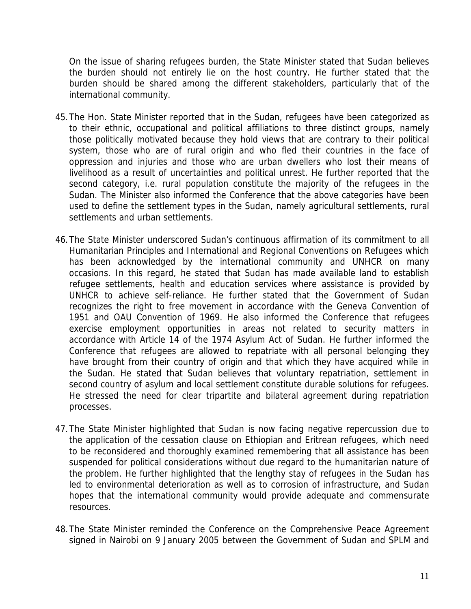On the issue of sharing refugees burden, the State Minister stated that Sudan believes the burden should not entirely lie on the host country. He further stated that the burden should be shared among the different stakeholders, particularly that of the international community.

- 45.The Hon. State Minister reported that in the Sudan, refugees have been categorized as to their ethnic, occupational and political affiliations to three distinct groups, namely those politically motivated because they hold views that are contrary to their political system, those who are of rural origin and who fled their countries in the face of oppression and injuries and those who are urban dwellers who lost their means of livelihood as a result of uncertainties and political unrest. He further reported that the second category, i.e. rural population constitute the majority of the refugees in the Sudan. The Minister also informed the Conference that the above categories have been used to define the settlement types in the Sudan, namely agricultural settlements, rural settlements and urban settlements.
- 46.The State Minister underscored Sudan's continuous affirmation of its commitment to all Humanitarian Principles and International and Regional Conventions on Refugees which has been acknowledged by the international community and UNHCR on many occasions. In this regard, he stated that Sudan has made available land to establish refugee settlements, health and education services where assistance is provided by UNHCR to achieve self-reliance. He further stated that the Government of Sudan recognizes the right to free movement in accordance with the Geneva Convention of 1951 and OAU Convention of 1969. He also informed the Conference that refugees exercise employment opportunities in areas not related to security matters in accordance with Article 14 of the 1974 Asylum Act of Sudan. He further informed the Conference that refugees are allowed to repatriate with all personal belonging they have brought from their country of origin and that which they have acquired while in the Sudan. He stated that Sudan believes that voluntary repatriation, settlement in second country of asylum and local settlement constitute durable solutions for refugees. He stressed the need for clear tripartite and bilateral agreement during repatriation processes.
- 47.The State Minister highlighted that Sudan is now facing negative repercussion due to the application of the cessation clause on Ethiopian and Eritrean refugees, which need to be reconsidered and thoroughly examined remembering that all assistance has been suspended for political considerations without due regard to the humanitarian nature of the problem. He further highlighted that the lengthy stay of refugees in the Sudan has led to environmental deterioration as well as to corrosion of infrastructure, and Sudan hopes that the international community would provide adequate and commensurate resources.
- 48.The State Minister reminded the Conference on the Comprehensive Peace Agreement signed in Nairobi on 9 January 2005 between the Government of Sudan and SPLM and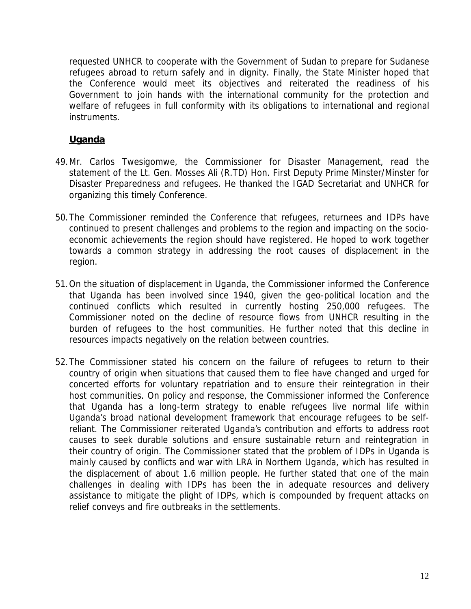requested UNHCR to cooperate with the Government of Sudan to prepare for Sudanese refugees abroad to return safely and in dignity. Finally, the State Minister hoped that the Conference would meet its objectives and reiterated the readiness of his Government to join hands with the international community for the protection and welfare of refugees in full conformity with its obligations to international and regional instruments.

## **Uganda**

- 49.Mr. Carlos Twesigomwe, the Commissioner for Disaster Management, read the statement of the Lt. Gen. Mosses Ali (R.TD) Hon. First Deputy Prime Minster/Minster for Disaster Preparedness and refugees. He thanked the IGAD Secretariat and UNHCR for organizing this timely Conference.
- 50.The Commissioner reminded the Conference that refugees, returnees and IDPs have continued to present challenges and problems to the region and impacting on the socioeconomic achievements the region should have registered. He hoped to work together towards a common strategy in addressing the root causes of displacement in the region.
- 51.On the situation of displacement in Uganda, the Commissioner informed the Conference that Uganda has been involved since 1940, given the geo-political location and the continued conflicts which resulted in currently hosting 250,000 refugees. The Commissioner noted on the decline of resource flows from UNHCR resulting in the burden of refugees to the host communities. He further noted that this decline in resources impacts negatively on the relation between countries.
- 52.The Commissioner stated his concern on the failure of refugees to return to their country of origin when situations that caused them to flee have changed and urged for concerted efforts for voluntary repatriation and to ensure their reintegration in their host communities. On policy and response, the Commissioner informed the Conference that Uganda has a long-term strategy to enable refugees live normal life within Uganda's broad national development framework that encourage refugees to be selfreliant. The Commissioner reiterated Uganda's contribution and efforts to address root causes to seek durable solutions and ensure sustainable return and reintegration in their country of origin. The Commissioner stated that the problem of IDPs in Uganda is mainly caused by conflicts and war with LRA in Northern Uganda, which has resulted in the displacement of about 1.6 million people. He further stated that one of the main challenges in dealing with IDPs has been the in adequate resources and delivery assistance to mitigate the plight of IDPs, which is compounded by frequent attacks on relief conveys and fire outbreaks in the settlements.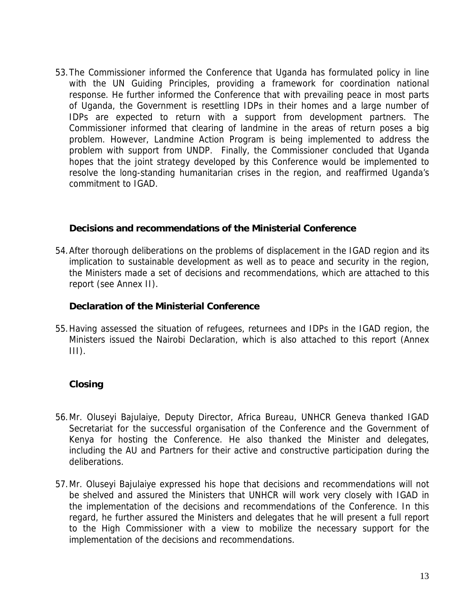53.The Commissioner informed the Conference that Uganda has formulated policy in line with the UN Guiding Principles, providing a framework for coordination national response. He further informed the Conference that with prevailing peace in most parts of Uganda, the Government is resettling IDPs in their homes and a large number of IDPs are expected to return with a support from development partners. The Commissioner informed that clearing of landmine in the areas of return poses a big problem. However, Landmine Action Program is being implemented to address the problem with support from UNDP. Finally, the Commissioner concluded that Uganda hopes that the joint strategy developed by this Conference would be implemented to resolve the long-standing humanitarian crises in the region, and reaffirmed Uganda's commitment to IGAD.

### **Decisions and recommendations of the Ministerial Conference**

54.After thorough deliberations on the problems of displacement in the IGAD region and its implication to sustainable development as well as to peace and security in the region, the Ministers made a set of decisions and recommendations, which are attached to this report (see Annex II).

### **Declaration of the Ministerial Conference**

55.Having assessed the situation of refugees, returnees and IDPs in the IGAD region, the Ministers issued the Nairobi Declaration, which is also attached to this report (Annex  $III$ ).

## **Closing**

- 56.Mr. Oluseyi Bajulaiye, Deputy Director, Africa Bureau, UNHCR Geneva thanked IGAD Secretariat for the successful organisation of the Conference and the Government of Kenya for hosting the Conference. He also thanked the Minister and delegates, including the AU and Partners for their active and constructive participation during the deliberations.
- 57.Mr. Oluseyi Bajulaiye expressed his hope that decisions and recommendations will not be shelved and assured the Ministers that UNHCR will work very closely with IGAD in the implementation of the decisions and recommendations of the Conference. In this regard, he further assured the Ministers and delegates that he will present a full report to the High Commissioner with a view to mobilize the necessary support for the implementation of the decisions and recommendations.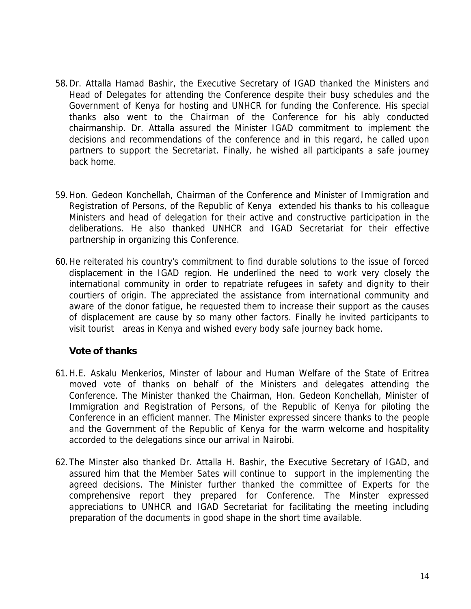- 58.Dr. Attalla Hamad Bashir, the Executive Secretary of IGAD thanked the Ministers and Head of Delegates for attending the Conference despite their busy schedules and the Government of Kenya for hosting and UNHCR for funding the Conference. His special thanks also went to the Chairman of the Conference for his ably conducted chairmanship. Dr. Attalla assured the Minister IGAD commitment to implement the decisions and recommendations of the conference and in this regard, he called upon partners to support the Secretariat. Finally, he wished all participants a safe journey back home.
- 59.Hon. Gedeon Konchellah, Chairman of the Conference and Minister of Immigration and Registration of Persons, of the Republic of Kenya extended his thanks to his colleague Ministers and head of delegation for their active and constructive participation in the deliberations. He also thanked UNHCR and IGAD Secretariat for their effective partnership in organizing this Conference.
- 60.He reiterated his country's commitment to find durable solutions to the issue of forced displacement in the IGAD region. He underlined the need to work very closely the international community in order to repatriate refugees in safety and dignity to their courtiers of origin. The appreciated the assistance from international community and aware of the donor fatigue, he requested them to increase their support as the causes of displacement are cause by so many other factors. Finally he invited participants to visit tourist areas in Kenya and wished every body safe journey back home.

## **Vote of thanks**

- 61.H.E. Askalu Menkerios, Minster of labour and Human Welfare of the State of Eritrea moved vote of thanks on behalf of the Ministers and delegates attending the Conference. The Minister thanked the Chairman, Hon. Gedeon Konchellah, Minister of Immigration and Registration of Persons, of the Republic of Kenya for piloting the Conference in an efficient manner. The Minister expressed sincere thanks to the people and the Government of the Republic of Kenya for the warm welcome and hospitality accorded to the delegations since our arrival in Nairobi.
- 62.The Minster also thanked Dr. Attalla H. Bashir, the Executive Secretary of IGAD, and assured him that the Member Sates will continue to support in the implementing the agreed decisions. The Minister further thanked the committee of Experts for the comprehensive report they prepared for Conference. The Minster expressed appreciations to UNHCR and IGAD Secretariat for facilitating the meeting including preparation of the documents in good shape in the short time available.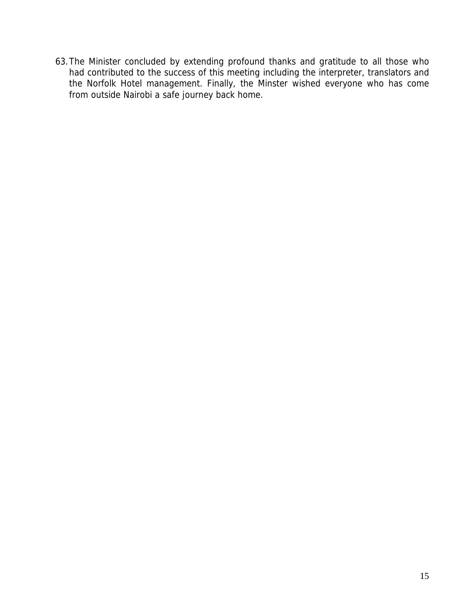63.The Minister concluded by extending profound thanks and gratitude to all those who had contributed to the success of this meeting including the interpreter, translators and the Norfolk Hotel management. Finally, the Minster wished everyone who has come from outside Nairobi a safe journey back home.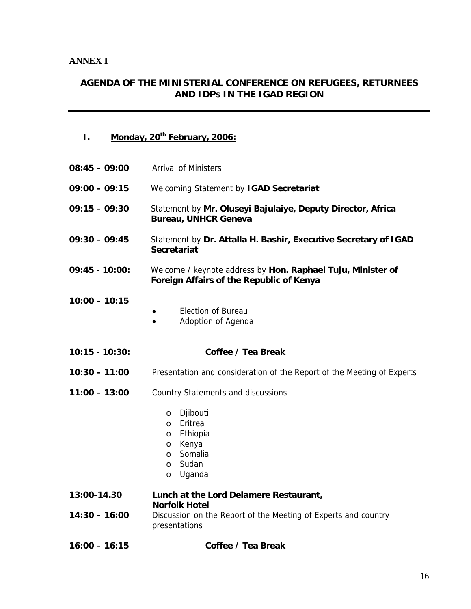### **AGENDA OF THE MINISTERIAL CONFERENCE ON REFUGEES, RETURNEES AND IDPs IN THE IGAD REGION**

- **I. Monday, 20th February, 2006:**
- **08:45 09:00** Arrival of Ministers **09:00 – 09:15** Welcoming Statement by **IGAD Secretariat 09:15 – 09:30** Statement by **Mr. Oluseyi Bajulaiye, Deputy Director, Africa Bureau, UNHCR Geneva 09:30 – 09:45** Statement by **Dr. Attalla H. Bashir, Executive Secretary of IGAD Secretariat 09:45 - 10:00:** Welcome / keynote address by **Hon. Raphael Tuju, Minister of Foreign Affairs of the Republic of Kenya 10:00 – 10:15** • Election of Bureau
	- Adoption of Agenda
- **10:15 10:30: Coffee / Tea Break**
- **10:30 11:00** Presentation and consideration of the Report of the Meeting of Experts
- **11:00 13:00** Country Statements and discussions
	- o Djibouti
	- o Eritrea
	- o Ethiopia
	- o Kenya
	- o Somalia
	- o Sudan
	- o Uganda

**13:00-14.30 Lunch at the Lord Delamere Restaurant, Norfolk Hotel 14:30 – 16:00** Discussion on the Report of the Meeting of Experts and country presentations

**16:00 – 16:15 Coffee / Tea Break**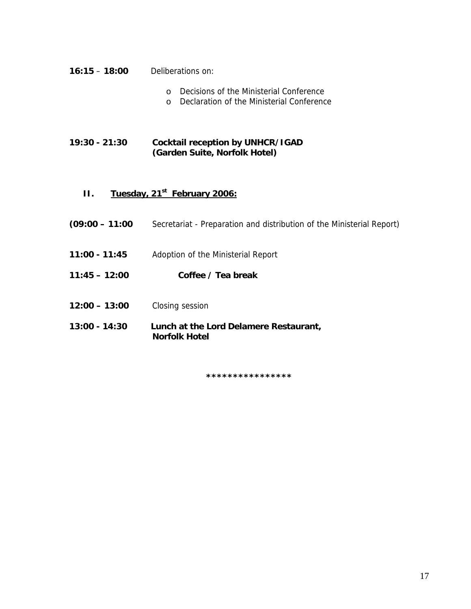- **16:15 18:00** Deliberations on:
	- o Decisions of the Ministerial Conference
	- o Declaration of the Ministerial Conference

**19:30 - 21:30 Cocktail reception by UNHCR/IGAD (Garden Suite, Norfolk Hotel)** 

## **II.** Tuesday, 21<sup>st</sup> February 2006:

- **(09:00 11:00** Secretariat Preparation and distribution of the Ministerial Report)
- **11:00 11:45** Adoption of the Ministerial Report
- **11:45 12:00 Coffee / Tea break**
- **12:00 13:00** Closing session
- **13:00 14:30 Lunch at the Lord Delamere Restaurant, Norfolk Hotel**

**\*\*\*\*\*\*\*\*\*\*\*\*\*\*\*\***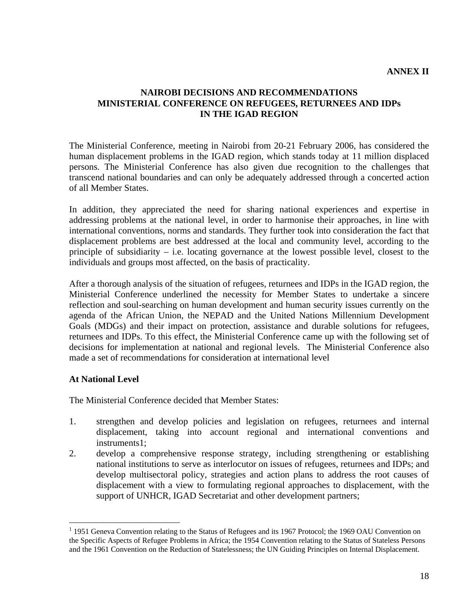### **NAIROBI DECISIONS AND RECOMMENDATIONS MINISTERIAL CONFERENCE ON REFUGEES, RETURNEES AND IDPs IN THE IGAD REGION**

The Ministerial Conference, meeting in Nairobi from 20-21 February 2006, has considered the human displacement problems in the IGAD region, which stands today at 11 million displaced persons. The Ministerial Conference has also given due recognition to the challenges that transcend national boundaries and can only be adequately addressed through a concerted action of all Member States.

In addition, they appreciated the need for sharing national experiences and expertise in addressing problems at the national level, in order to harmonise their approaches, in line with international conventions, norms and standards. They further took into consideration the fact that displacement problems are best addressed at the local and community level, according to the principle of subsidiarity – i.e. locating governance at the lowest possible level, closest to the individuals and groups most affected, on the basis of practicality.

After a thorough analysis of the situation of refugees, returnees and IDPs in the IGAD region, the Ministerial Conference underlined the necessity for Member States to undertake a sincere reflection and soul-searching on human development and human security issues currently on the agenda of the African Union, the NEPAD and the United Nations Millennium Development Goals (MDGs) and their impact on protection, assistance and durable solutions for refugees, returnees and IDPs. To this effect, the Ministerial Conference came up with the following set of decisions for implementation at national and regional levels. The Ministerial Conference also made a set of recommendations for consideration at international level

### **At National Level**

 $\overline{a}$ 

The Ministerial Conference decided that Member States:

- 1. strengthen and develop policies and legislation on refugees, returnees and internal displacement, taking into account regional and international conventions and instruments1;
- 2. develop a comprehensive response strategy, including strengthening or establishing national institutions to serve as interlocutor on issues of refugees, returnees and IDPs; and develop multisectoral policy, strategies and action plans to address the root causes of displacement with a view to formulating regional approaches to displacement, with the support of UNHCR, IGAD Secretariat and other development partners;

<sup>&</sup>lt;sup>1</sup> 1951 Geneva Convention relating to the Status of Refugees and its 1967 Protocol; the 1969 OAU Convention on the Specific Aspects of Refugee Problems in Africa; the 1954 Convention relating to the Status of Stateless Persons and the 1961 Convention on the Reduction of Statelessness; the UN Guiding Principles on Internal Displacement.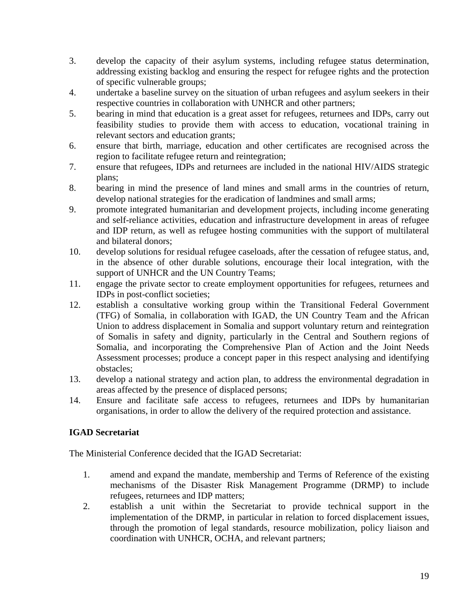- 3. develop the capacity of their asylum systems, including refugee status determination, addressing existing backlog and ensuring the respect for refugee rights and the protection of specific vulnerable groups;
- 4. undertake a baseline survey on the situation of urban refugees and asylum seekers in their respective countries in collaboration with UNHCR and other partners;
- 5. bearing in mind that education is a great asset for refugees, returnees and IDPs, carry out feasibility studies to provide them with access to education, vocational training in relevant sectors and education grants;
- 6. ensure that birth, marriage, education and other certificates are recognised across the region to facilitate refugee return and reintegration;
- 7. ensure that refugees, IDPs and returnees are included in the national HIV/AIDS strategic plans;
- 8. bearing in mind the presence of land mines and small arms in the countries of return, develop national strategies for the eradication of landmines and small arms;
- 9. promote integrated humanitarian and development projects, including income generating and self-reliance activities, education and infrastructure development in areas of refugee and IDP return, as well as refugee hosting communities with the support of multilateral and bilateral donors;
- 10. develop solutions for residual refugee caseloads, after the cessation of refugee status, and, in the absence of other durable solutions, encourage their local integration, with the support of UNHCR and the UN Country Teams;
- 11. engage the private sector to create employment opportunities for refugees, returnees and IDPs in post-conflict societies;
- 12. establish a consultative working group within the Transitional Federal Government (TFG) of Somalia, in collaboration with IGAD, the UN Country Team and the African Union to address displacement in Somalia and support voluntary return and reintegration of Somalis in safety and dignity, particularly in the Central and Southern regions of Somalia, and incorporating the Comprehensive Plan of Action and the Joint Needs Assessment processes; produce a concept paper in this respect analysing and identifying obstacles;
- 13. develop a national strategy and action plan, to address the environmental degradation in areas affected by the presence of displaced persons;
- 14. Ensure and facilitate safe access to refugees, returnees and IDPs by humanitarian organisations, in order to allow the delivery of the required protection and assistance.

## **IGAD Secretariat**

The Ministerial Conference decided that the IGAD Secretariat:

- 1. amend and expand the mandate, membership and Terms of Reference of the existing mechanisms of the Disaster Risk Management Programme (DRMP) to include refugees, returnees and IDP matters;
- 2. establish a unit within the Secretariat to provide technical support in the implementation of the DRMP, in particular in relation to forced displacement issues, through the promotion of legal standards, resource mobilization, policy liaison and coordination with UNHCR, OCHA, and relevant partners;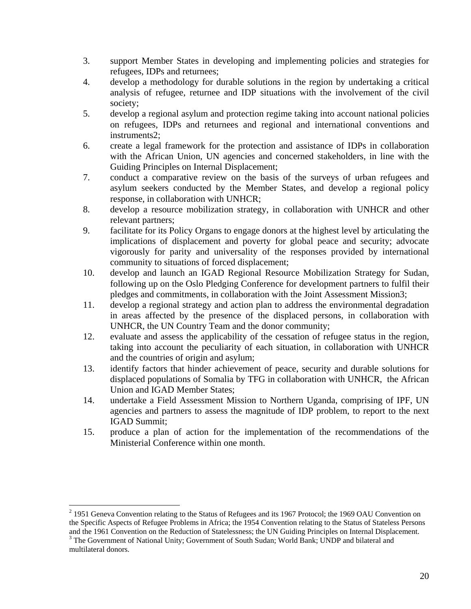- 3. support Member States in developing and implementing policies and strategies for refugees, IDPs and returnees;
- 4. develop a methodology for durable solutions in the region by undertaking a critical analysis of refugee, returnee and IDP situations with the involvement of the civil society;
- 5. develop a regional asylum and protection regime taking into account national policies on refugees, IDPs and returnees and regional and international conventions and instruments2;
- 6. create a legal framework for the protection and assistance of IDPs in collaboration with the African Union, UN agencies and concerned stakeholders, in line with the Guiding Principles on Internal Displacement;
- 7. conduct a comparative review on the basis of the surveys of urban refugees and asylum seekers conducted by the Member States, and develop a regional policy response, in collaboration with UNHCR;
- 8. develop a resource mobilization strategy, in collaboration with UNHCR and other relevant partners;
- 9. facilitate for its Policy Organs to engage donors at the highest level by articulating the implications of displacement and poverty for global peace and security; advocate vigorously for parity and universality of the responses provided by international community to situations of forced displacement;
- 10. develop and launch an IGAD Regional Resource Mobilization Strategy for Sudan, following up on the Oslo Pledging Conference for development partners to fulfil their pledges and commitments, in collaboration with the Joint Assessment Mission3;
- 11. develop a regional strategy and action plan to address the environmental degradation in areas affected by the presence of the displaced persons, in collaboration with UNHCR, the UN Country Team and the donor community;
- 12. evaluate and assess the applicability of the cessation of refugee status in the region, taking into account the peculiarity of each situation, in collaboration with UNHCR and the countries of origin and asylum;
- 13. identify factors that hinder achievement of peace, security and durable solutions for displaced populations of Somalia by TFG in collaboration with UNHCR, the African Union and IGAD Member States;
- 14. undertake a Field Assessment Mission to Northern Uganda, comprising of IPF, UN agencies and partners to assess the magnitude of IDP problem, to report to the next IGAD Summit;
- 15. produce a plan of action for the implementation of the recommendations of the Ministerial Conference within one month.

 $\overline{a}$ 

 $2$  1951 Geneva Convention relating to the Status of Refugees and its 1967 Protocol; the 1969 OAU Convention on the Specific Aspects of Refugee Problems in Africa; the 1954 Convention relating to the Status of Stateless Persons and the 1961 Convention on the Reduction of Statelessness; the UN Guiding Principles on Internal Displacement. 3

<sup>&</sup>lt;sup>3</sup> The Government of National Unity; Government of South Sudan; World Bank; UNDP and bilateral and multilateral donors.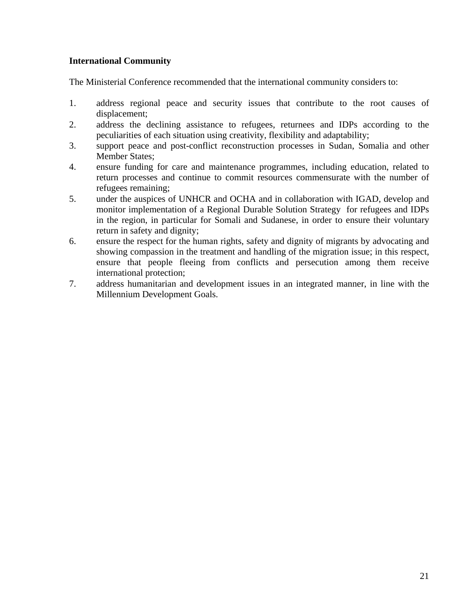### **International Community**

The Ministerial Conference recommended that the international community considers to:

- 1. address regional peace and security issues that contribute to the root causes of displacement;
- 2. address the declining assistance to refugees, returnees and IDPs according to the peculiarities of each situation using creativity, flexibility and adaptability;
- 3. support peace and post-conflict reconstruction processes in Sudan, Somalia and other Member States;
- 4. ensure funding for care and maintenance programmes, including education, related to return processes and continue to commit resources commensurate with the number of refugees remaining;
- 5. under the auspices of UNHCR and OCHA and in collaboration with IGAD, develop and monitor implementation of a Regional Durable Solution Strategy for refugees and IDPs in the region, in particular for Somali and Sudanese, in order to ensure their voluntary return in safety and dignity;
- 6. ensure the respect for the human rights, safety and dignity of migrants by advocating and showing compassion in the treatment and handling of the migration issue; in this respect, ensure that people fleeing from conflicts and persecution among them receive international protection;
- 7. address humanitarian and development issues in an integrated manner, in line with the Millennium Development Goals.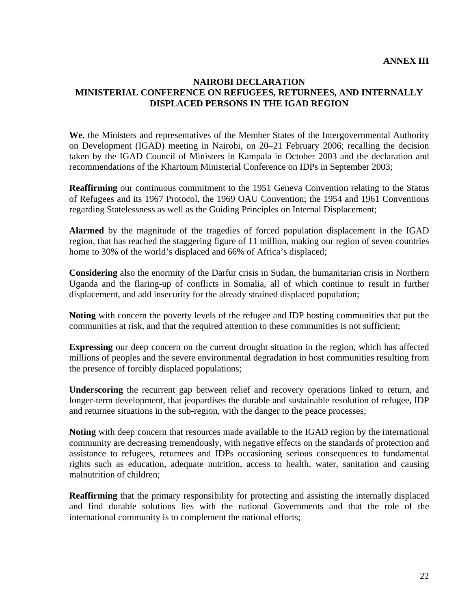### **ANNEX III**

### **NAIROBI DECLARATION MINISTERIAL CONFERENCE ON REFUGEES, RETURNEES, AND INTERNALLY DISPLACED PERSONS IN THE IGAD REGION**

**We**, the Ministers and representatives of the Member States of the Intergovernmental Authority on Development (IGAD) meeting in Nairobi, on 20–21 February 2006; recalling the decision taken by the IGAD Council of Ministers in Kampala in October 2003 and the declaration and recommendations of the Khartoum Ministerial Conference on IDPs in September 2003;

**Reaffirming** our continuous commitment to the 1951 Geneva Convention relating to the Status of Refugees and its 1967 Protocol, the 1969 OAU Convention; the 1954 and 1961 Conventions regarding Statelessness as well as the Guiding Principles on Internal Displacement;

**Alarmed** by the magnitude of the tragedies of forced population displacement in the IGAD region, that has reached the staggering figure of 11 million, making our region of seven countries home to 30% of the world's displaced and 66% of Africa's displaced;

**Considering** also the enormity of the Darfur crisis in Sudan, the humanitarian crisis in Northern Uganda and the flaring-up of conflicts in Somalia, all of which continue to result in further displacement, and add insecurity for the already strained displaced population;

**Noting** with concern the poverty levels of the refugee and IDP hosting communities that put the communities at risk, and that the required attention to these communities is not sufficient;

**Expressing** our deep concern on the current drought situation in the region, which has affected millions of peoples and the severe environmental degradation in host communities resulting from the presence of forcibly displaced populations;

**Underscoring** the recurrent gap between relief and recovery operations linked to return, and longer-term development, that jeopardises the durable and sustainable resolution of refugee, IDP and returnee situations in the sub-region, with the danger to the peace processes;

**Noting** with deep concern that resources made available to the IGAD region by the international community are decreasing tremendously, with negative effects on the standards of protection and assistance to refugees, returnees and IDPs occasioning serious consequences to fundamental rights such as education, adequate nutrition, access to health, water, sanitation and causing malnutrition of children;

**Reaffirming** that the primary responsibility for protecting and assisting the internally displaced and find durable solutions lies with the national Governments and that the role of the international community is to complement the national efforts;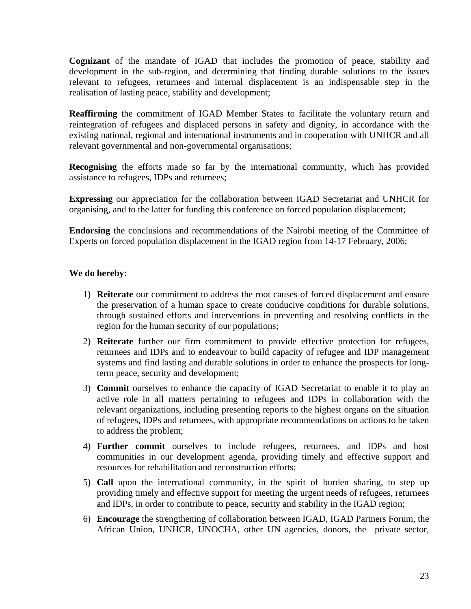**Cognizant** of the mandate of IGAD that includes the promotion of peace, stability and development in the sub-region, and determining that finding durable solutions to the issues relevant to refugees, returnees and internal displacement is an indispensable step in the realisation of lasting peace, stability and development;

**Reaffirming** the commitment of IGAD Member States to facilitate the voluntary return and reintegration of refugees and displaced persons in safety and dignity, in accordance with the existing national, regional and international instruments and in cooperation with UNHCR and all relevant governmental and non-governmental organisations;

**Recognising** the efforts made so far by the international community, which has provided assistance to refugees, IDPs and returnees;

**Expressing** our appreciation for the collaboration between IGAD Secretariat and UNHCR for organising, and to the latter for funding this conference on forced population displacement;

**Endorsing** the conclusions and recommendations of the Nairobi meeting of the Committee of Experts on forced population displacement in the IGAD region from 14-17 February, 2006;

### **We do hereby:**

- 1) **Reiterate** our commitment to address the root causes of forced displacement and ensure the preservation of a human space to create conducive conditions for durable solutions, through sustained efforts and interventions in preventing and resolving conflicts in the region for the human security of our populations;
- 2) **Reiterate** further our firm commitment to provide effective protection for refugees, returnees and IDPs and to endeavour to build capacity of refugee and IDP management systems and find lasting and durable solutions in order to enhance the prospects for longterm peace, security and development;
- 3) **Commit** ourselves to enhance the capacity of IGAD Secretariat to enable it to play an active role in all matters pertaining to refugees and IDPs in collaboration with the relevant organizations, including presenting reports to the highest organs on the situation of refugees, IDPs and returnees, with appropriate recommendations on actions to be taken to address the problem;
- 4) **Further commit** ourselves to include refugees, returnees, and IDPs and host communities in our development agenda, providing timely and effective support and resources for rehabilitation and reconstruction efforts;
- 5) **Call** upon the international community, in the spirit of burden sharing, to step up providing timely and effective support for meeting the urgent needs of refugees, returnees and IDPs, in order to contribute to peace, security and stability in the IGAD region;
- 6) **Encourage** the strengthening of collaboration between IGAD, IGAD Partners Forum, the African Union, UNHCR, UNOCHA, other UN agencies, donors, the private sector,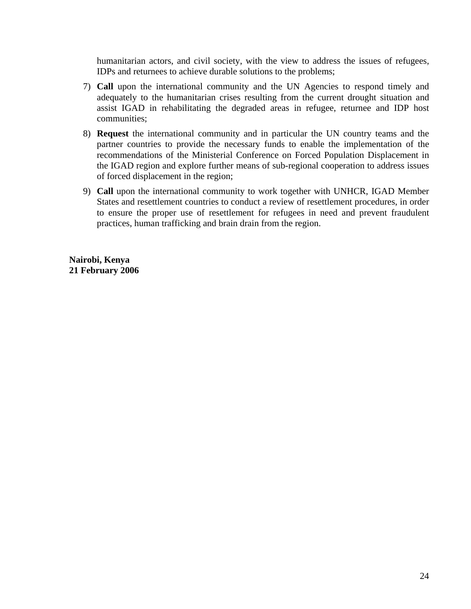humanitarian actors, and civil society, with the view to address the issues of refugees, IDPs and returnees to achieve durable solutions to the problems;

- 7) **Call** upon the international community and the UN Agencies to respond timely and adequately to the humanitarian crises resulting from the current drought situation and assist IGAD in rehabilitating the degraded areas in refugee, returnee and IDP host communities;
- 8) **Request** the international community and in particular the UN country teams and the partner countries to provide the necessary funds to enable the implementation of the recommendations of the Ministerial Conference on Forced Population Displacement in the IGAD region and explore further means of sub-regional cooperation to address issues of forced displacement in the region;
- 9) **Call** upon the international community to work together with UNHCR, IGAD Member States and resettlement countries to conduct a review of resettlement procedures, in order to ensure the proper use of resettlement for refugees in need and prevent fraudulent practices, human trafficking and brain drain from the region.

**Nairobi, Kenya 21 February 2006**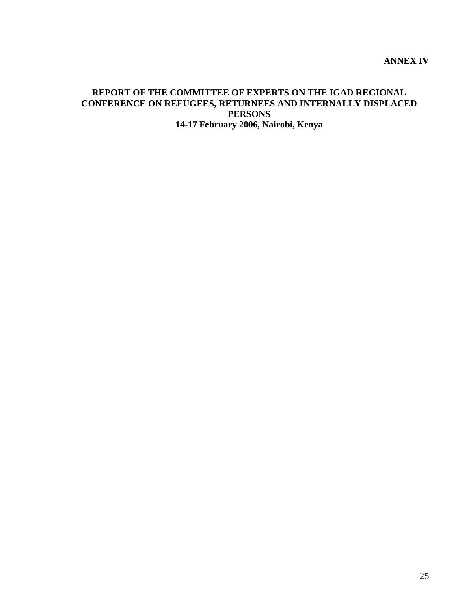### **REPORT OF THE COMMITTEE OF EXPERTS ON THE IGAD REGIONAL CONFERENCE ON REFUGEES, RETURNEES AND INTERNALLY DISPLACED PERSONS 14-17 February 2006, Nairobi, Kenya**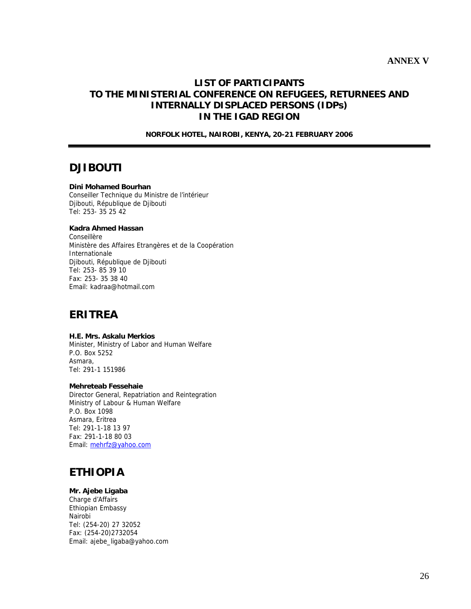### **LIST OF PARTICIPANTS TO THE MINISTERIAL CONFERENCE ON REFUGEES, RETURNEES AND INTERNALLY DISPLACED PERSONS (IDPs) IN THE IGAD REGION**

**NORFOLK HOTEL, NAIROBI, KENYA, 20-21 FEBRUARY 2006** 

## **DJIBOUTI**

### **Dini Mohamed Bourhan**

Conseiller Technique du Ministre de l'intérieur Djibouti, République de Djibouti Tel: 253- 35 25 42

### **Kadra Ahmed Hassan**

Conseillère Ministère des Affaires Etrangères et de la Coopération Internationale Djibouti, République de Djibouti Tel: 253- 85 39 10 Fax: 253- 35 38 40 Email: kadraa@hotmail.com

## **ERITREA**

**H.E. Mrs. Askalu Merkios**  Minister, Ministry of Labor and Human Welfare P.O. Box 5252 Asmara, Tel: 291-1 151986

### **Mehreteab Fessehaie**

Director General, Repatriation and Reintegration Ministry of Labour & Human Welfare P.O. Box 1098 Asmara, Eritrea Tel: 291-1-18 13 97 Fax: 291-1-18 80 03 Email: mehrfz@yahoo.com

# **ETHIOPIA**

### **Mr. Ajebe Ligaba**

Charge d'Affairs Ethiopian Embassy Nairobi Tel: (254-20) 27 32052 Fax: (254-20)2732054 Email: ajebe\_ligaba@yahoo.com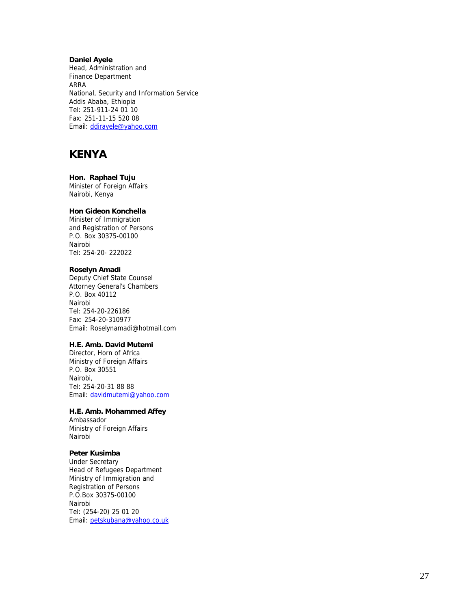#### **Daniel Ayele**

Head, Administration and Finance Department ARRA National, Security and Information Service Addis Ababa, Ethiopia Tel: 251-911-24 01 10 Fax: 251-11-15 520 08 Email: ddirayele@yahoo.com

## **KENYA**

#### **Hon. Raphael Tuju**

Minister of Foreign Affairs Nairobi, Kenya

### **Hon Gideon Konchella**

Minister of Immigration and Registration of Persons P.O. Box 30375-00100 Nairobi Tel: 254-20- 222022

#### **Roselyn Amadi**

Deputy Chief State Counsel Attorney General's Chambers P.O. Box 40112 Nairobi Tel: 254-20-226186 Fax: 254-20-310977 Email: Roselynamadi@hotmail.com

### **H.E. Amb. David Mutemi**

Director, Horn of Africa Ministry of Foreign Affairs P.O. Box 30551 Nairobi, Tel: 254-20-31 88 88 Email: davidmutemi@yahoo.com

#### **H.E. Amb. Mohammed Affey**

Ambassador Ministry of Foreign Affairs Nairobi

### **Peter Kusimba**

Under Secretary Head of Refugees Department Ministry of Immigration and Registration of Persons P.O.Box 30375-00100 Nairobi Tel: (254-20) 25 01 20 Email: petskubana@yahoo.co.uk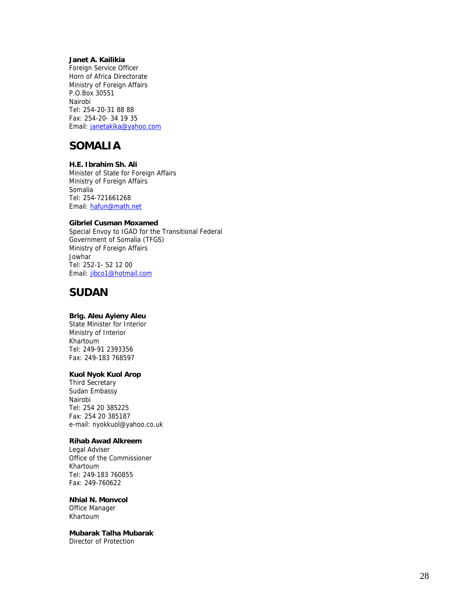### **Janet A. Kailikia**

Foreign Service Officer Horn of Africa Directorate Ministry of Foreign Affairs P.O.Box 30551 Nairobi Tel: 254-20-31 88 88 Fax: 254-20- 34 19 35 Email: janetakika@yahoo.com

## **SOMALIA**

#### **H.E. Ibrahim Sh. Ali**

Minister of State for Foreign Affairs Ministry of Foreign Affairs Somalia Tel: 254-721661268 Email: hafun@math.net

#### **Gibriel Cusman Moxamed**

Special Envoy to IGAD for the Transitional Federal Government of Somalia (TFGS) Ministry of Foreign Affairs **Jowhar** Tel: 252-1- 52 12 00 Email: jibco1@hotmail.com

## **SUDAN**

### **Brig. Aleu Ayieny Aleu**

State Minister for Interior Ministry of Interior Khartoum Tel: 249-91 2393356 Fax: 249-183 768597

### **Kuol Nyok Kuol Arop**

Third Secretary Sudan Embassy Nairobi Tel: 254 20 385225 Fax: 254 20 385187 e-mail: nyokkuol@yahoo.co.uk

### **Rihab Awad Alkreem**

Legal Adviser Office of the Commissioner Khartoum Tel: 249-183 760855 Fax: 249-760622

### **Nhial N. Monvcol**

Office Manager Khartoum

## **Mubarak Talha Mubarak**

Director of Protection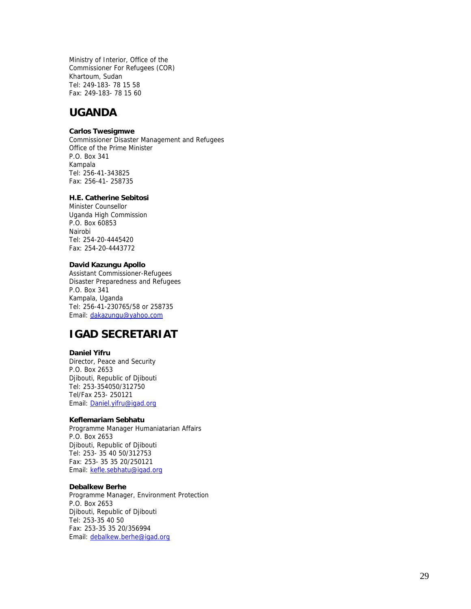Ministry of Interior, Office of the Commissioner For Refugees (COR) Khartoum, Sudan Tel: 249-183- 78 15 58 Fax: 249-183- 78 15 60

## **UGANDA**

### **Carlos Twesigmwe**

Commissioner Disaster Management and Refugees Office of the Prime Minister P.O. Box 341 Kampala Tel: 256-41-343825 Fax: 256-41- 258735

#### **H.E. Catherine Sebitosi**

Minister Counsellor Uganda High Commission P.O. Box 60853 Nairobi Tel: 254-20-4445420 Fax: 254-20-4443772

#### **David Kazungu Apollo**

Assistant Commissioner-Refugees Disaster Preparedness and Refugees P.O. Box 341 Kampala, Uganda Tel: 256-41-230765/58 or 258735 Email: dakazungu@yahoo.com

## **IGAD SECRETARIAT**

#### **Daniel Yifru**

Director, Peace and Security P.O. Box 2653 Djibouti, Republic of Djibouti Tel: 253-354050/312750 Tel/Fax 253- 250121 Email: Daniel.yifru@igad.org

#### **Keflemariam Sebhatu**

Programme Manager Humaniatarian Affairs P.O. Box 2653 Djibouti, Republic of Djibouti Tel: 253- 35 40 50/312753 Fax: 253- 35 35 20/250121 Email: kefle.sebhatu@igad.org

#### **Debalkew Berhe**

Programme Manager, Environment Protection P.O. Box 2653 Djibouti, Republic of Djibouti Tel: 253-35 40 50 Fax: 253-35 35 20/356994 Email: debalkew.berhe@igad.org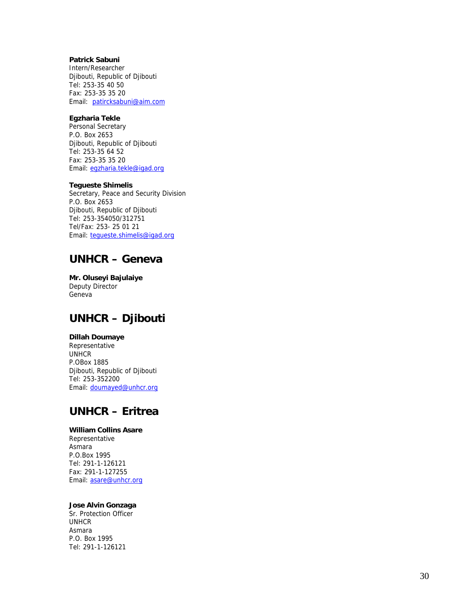### **Patrick Sabuni**

Intern/Researcher Djibouti, Republic of Djibouti Tel: 253-35 40 50 Fax: 253-35 35 20 Email: patircksabuni@aim.com

### **Egzharia Tekle**

Personal Secretary P.O. Box 2653 Djibouti, Republic of Djibouti Tel: 253-35 64 52 Fax: 253-35 35 20 Email: egzharia.tekle@igad.org

#### **Tegueste Shimelis**

Secretary, Peace and Security Division P.O. Box 2653 Djibouti, Republic of Djibouti Tel: 253-354050/312751 Tel/Fax: 253- 25 01 21 Email: tegueste.shimelis@igad.org

## **UNHCR – Geneva**

**Mr. Oluseyi Bajulaiye**  Deputy Director Geneva

# **UNHCR – Djibouti**

### **Dillah Doumaye**

Representative **UNHCR** P.OBox 1885 Djibouti, Republic of Djibouti Tel: 253-352200 Email: doumayed@unhcr.org

# **UNHCR – Eritrea**

### **William Collins Asare**

Representative Asmara P.O.Box 1995 Tel: 291-1-126121 Fax: 291-1-127255 Email: asare@unhcr.org

#### **Jose Alvin Gonzaga**

Sr. Protection Officer UNHCR Asmara P.O. Box 1995 Tel: 291-1-126121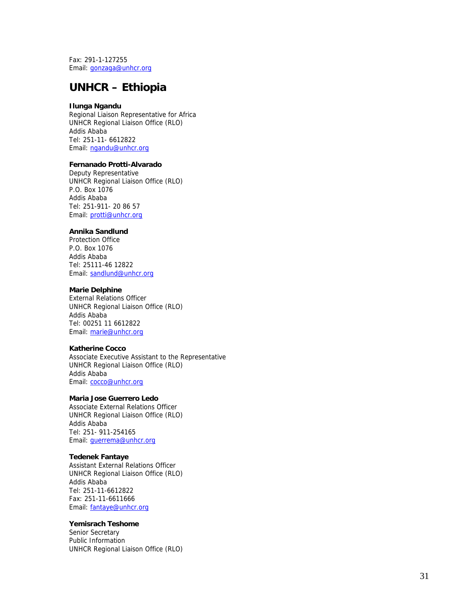Fax: 291-1-127255 Email: gonzaga@unhcr.org

## **UNHCR – Ethiopia**

### **Ilunga Ngandu**

Regional Liaison Representative for Africa UNHCR Regional Liaison Office (RLO) Addis Ababa Tel: 251-11- 6612822 Email: ngandu@unhcr.org

### **Fernanado Protti-Alvarado**

Deputy Representative UNHCR Regional Liaison Office (RLO) P.O. Box 1076 Addis Ababa Tel: 251-911- 20 86 57 Email: protti@unhcr.org

#### **Annika Sandlund**

Protection Office P.O. Box 1076 Addis Ababa Tel: 25111-46 12822 Email: sandlund@unhcr.org

#### **Marie Delphine**

External Relations Officer UNHCR Regional Liaison Office (RLO) Addis Ababa Tel: 00251 11 6612822 Email: marie@unhcr.org

#### **Katherine Cocco**

Associate Executive Assistant to the Representative UNHCR Regional Liaison Office (RLO) Addis Ababa Email: cocco@unhcr.org

#### **Maria Jose Guerrero Ledo**

Associate External Relations Officer UNHCR Regional Liaison Office (RLO) Addis Ababa Tel: 251- 911-254165 Email: guerrema@unhcr.org

#### **Tedenek Fantaye**

Assistant External Relations Officer UNHCR Regional Liaison Office (RLO) Addis Ababa Tel: 251-11-6612822 Fax: 251-11-6611666 Email: fantaye@unhcr.org

#### **Yemisrach Teshome**

Senior Secretary Public Information UNHCR Regional Liaison Office (RLO)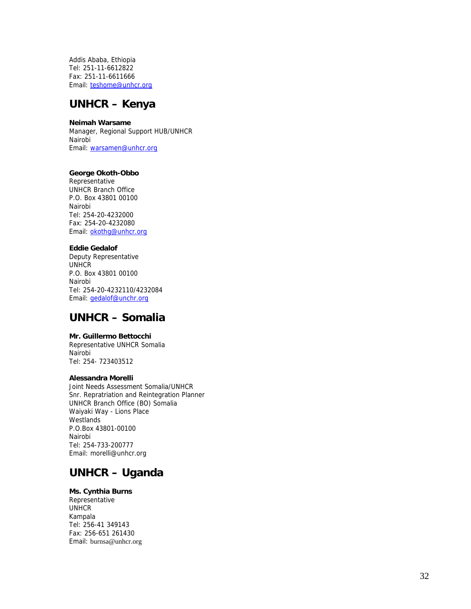Addis Ababa, Ethiopia Tel: 251-11-6612822 Fax: 251-11-6611666 Email: teshome@unhcr.org

## **UNHCR – Kenya**

### **Neimah Warsame**

Manager, Regional Support HUB/UNHCR Nairobi Email: warsamen@unhcr.org

#### **George Okoth-Obbo**

Representative UNHCR Branch Office P.O. Box 43801 00100 Nairobi Tel: 254-20-4232000 Fax: 254-20-4232080 Email: okothg@unhcr.org

### **Eddie Gedalof**

Deputy Representative UNHCR P.O. Box 43801 00100 Nairobi Tel: 254-20-4232110/4232084 Email: gedalof@unchr.org

## **UNHCR – Somalia**

### **Mr. Guillermo Bettocchi**

Representative UNHCR Somalia Nairobi Tel: 254- 723403512

#### **Alessandra Morelli**

Joint Needs Assessment Somalia/UNHCR Snr. Repratriation and Reintegration Planner UNHCR Branch Office (BO) Somalia Waiyaki Way - Lions Place **Westlands** P.O.Box 43801-00100 Nairobi Tel: 254-733-200777 Email: morelli@unhcr.org

# **UNHCR – Uganda**

### **Ms. Cynthia Burns**

Representative UNHCR Kampala Tel: 256-41 349143 Fax: 256-651 261430 Email: burnsa@unhcr.org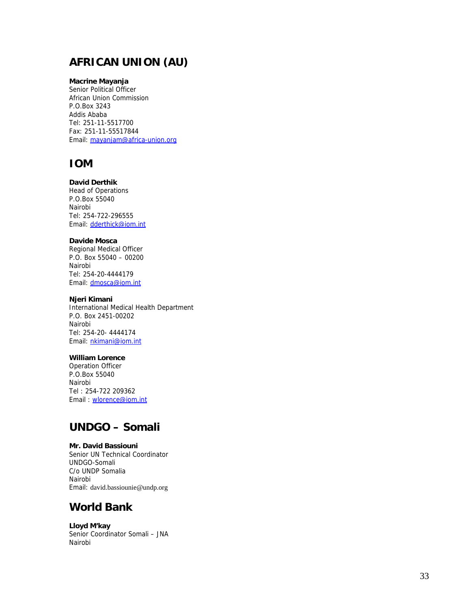# **AFRICAN UNION (AU)**

### **Macrine Mayanja**

Senior Political Officer African Union Commission P.O.Box 3243 Addis Ababa Tel: 251-11-5517700 Fax: 251-11-55517844 Email: mayanjam@africa-union.org

## **IOM**

### **David Derthik**

Head of Operations P.O.Box 55040 Nairobi Tel: 254-722-296555 Email: dderthick@iom.int

#### **Davide Mosca**

Regional Medical Officer P.O. Box 55040 – 00200 Nairobi Tel: 254-20-4444179 Email: dmosca@iom.int

### **Njeri Kimani**

International Medical Health Department P.O. Box 2451-00202 Nairobi Tel: 254-20- 4444174 Email: nkimani@iom.int

### **William Lorence**

Operation Officer P.O.Box 55040 Nairobi Tel : 254-722 209362 Email : wlorence@iom.int

# **UNDGO – Somali**

#### **Mr. David Bassiouni**

Senior UN Technical Coordinator UNDGO-Somali C/o UNDP Somalia Nairobi Email: david.bassiounie@undp.org

### **World Bank**

**Lloyd M'kay**  Senior Coordinator Somali – JNA Nairobi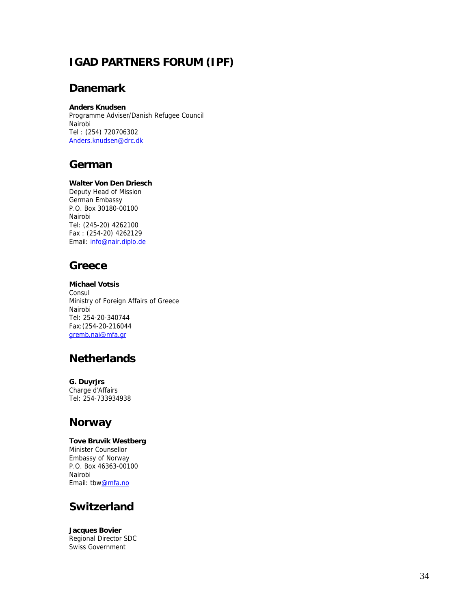# **IGAD PARTNERS FORUM (IPF)**

# **Danemark**

### **Anders Knudsen**

Programme Adviser/Danish Refugee Council Nairobi Tel : (254) 720706302 Anders.knudsen@drc.dk

# **German**

### **Walter Von Den Driesch**

Deputy Head of Mission German Embassy P.O. Box 30180-00100 Nairobi Tel: (245-20) 4262100 Fax : (254-20) 4262129 Email: info@nair.diplo.de

# **Greece**

**Michael Votsis**  Consul Ministry of Foreign Affairs of Greece Nairobi Tel: 254-20-340744 Fax:(254-20-216044 gremb.nai@mfa.gr

# **Netherlands**

**G. Duyrjrs**  Charge d'Affairs Tel: 254-733934938

# **Norway**

**Tove Bruvik Westberg**  Minister Counsellor Embassy of Norway P.O. Box 46363-00100 Nairobi Email: tbw@mfa.no

# **Switzerland**

**Jacques Bovier**  Regional Director SDC Swiss Government